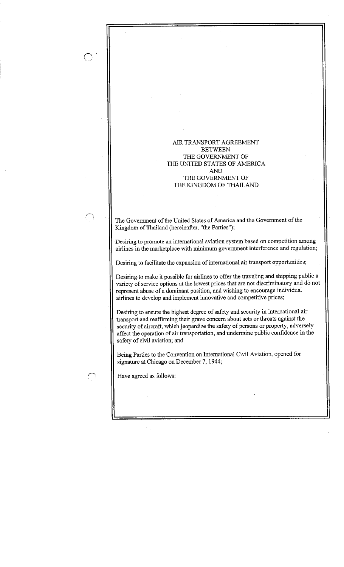# AIR TRANSPORT AGREEMENT **BETWEEN** THE GOVERNMENT OF THE UNITED STATES OF AMERICA AND THE GOVERNMENT OF THE KINGDOM OF THAILAND

The Government of the United States of America and the Government of the Kingdom of Thailand (hereinafter, "the Parties");

Desiring to promote an international aviation system based on competition among airlines in the marketplace with minimum government interference and regulation;

Desiring to facilitate the expansion of international air transport opportunities;

Desiring to make it possible for airlines to offer the traveling and shipping public a variety of service options at the lowest prices that are not discriminatory and do not represent abuse of a dominant position, and wishing to encourage individual airlines to develop and implement innovative and competitive prices ;

Desiring to ensure the highest degree of safety and security in international air transport and reaffirming their grave concern about acts or threats against the security of aircraft, which jeopardize the safety of persons or property, adversely affect the operation of air transportation, and undermine public confidence in the safety of civil aviation; and

Being Parties to the Convention on International Civil Aviation, opened for signature at Chicago on December 7, 1944;

Have agreed as follows :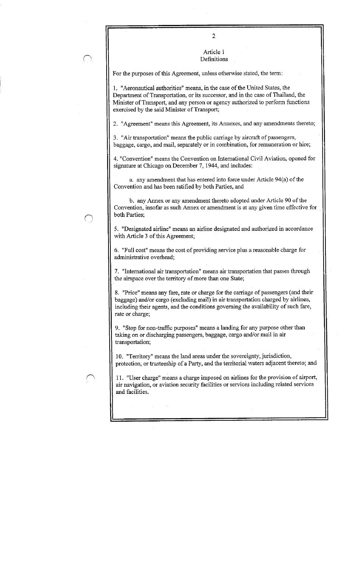Article I Definitions

For the purposes of this Agreement, unless otherwise stated, the term :

1 . "Aeronautical authorities" means, in the case of the United States, the Department of Transportation, or its successor, and in the case of Thailand, the Minister of Transport, and any person or agency authorized to perform functions exercised by the said Minister of Transport;

2. "Agreement" means this Agreement, its Annexes, and any amendments thereto;

3 . "Air transportation" means the public carriage by aircraft of passengers, baggage, cargo, and mail, separately or in combination, for remuneration or hire;

4. "Convention" means the Convention on International Civil Aviation, opened for signature at Chicago on December 7, 1944, and includes :

a. any amendment that has entered into force under Article 94(a) of the Convention and has been ratified by both Parties, and

b. any Annex or any amendment thereto adopted under Article 90 of the Convention, insofar as such Annex or amendment is at any given time effective for both Parties;

5 . "Designated airline" means an airline designated and authorized in accordance with Article 3 of this Agreement;

6. "Full cost" means the cost of providing service plus a reasonable charge for administrative overhead;

7. "International air transportation" means air transportation that passes through the airspace over the territory of more than one State;

8 . "Price" means any fare, rate or charge for the carriage of passengers (and their baggage) and/or cargo (excluding mail) in air transportation charged by airlines, including their agents, and the conditions governing the availability of such fare, rate or charge;

9. "Stop for non-traffic purposes" means a landing for any purpose other than taking on or discharging passengers, baggage, cargo and/or mail in air transportation;

10 . "Territory" means the land areas under the sovereignty, jurisdiction, protection, or trusteeship of a Party, and the territorial waters adjacent thereto; and

11 . "User charge" means a charge imposed on airlines for the provision of airport, air navigation, or aviation security facilities or services including related services and facilities .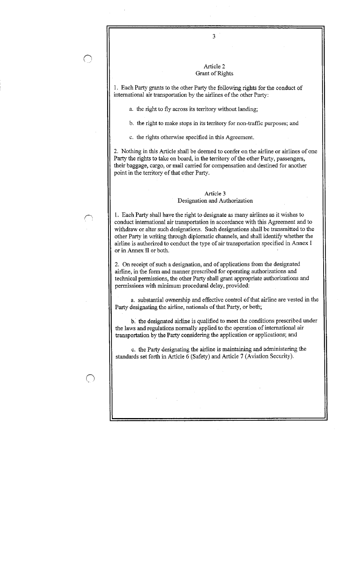$\bigcirc$ 

### Article 2 Grant of Rights

 $\overline{3}$ 

<sup>1</sup> . Each Party grants to the other Party the following rights for the conduct of international air transportation by the airlines of the other Party :

a. the right to fly across its territory without landing;

b. the right to make stops in its territory for non-traffic purposes; and

c. the rights otherwise specified in this Agreement.

2. Nothing in this Article shall be deemed to confer on the airline or airlines of one Party the rights to take on board, in the territory of the other Party, passengers, their baggage, cargo, or mail carried for compensation and destined for another point in the territory of that other Party.

### Article 3 Designation and Authorization

<sup>1</sup> . Each Party shall have the right to designate as many airlines as it wishes to conduct international air transportation in accordance with this Agreement and to withdraw or alter such designations . Such designations shall be transmitted to the other Party in writing through diplomatic channels, and shall identify whether the airline is authorized to conduct the type of air transportation specified in Annex I or in Annex II or both.

2. On receipt of such a designation, and of applications from the designated airline, in the form and manner prescribed for operating authorizations and technical permissions, the other Party shall grant appropriate authorizations and permissions with minimum procedural delay, provided :

a. substantial ownership and effective control of that airline are vested in the Party designating the airline, nationals of that Party, or both;

b. the designated airline is qualified to meet the conditions prescribed under the laws and regulations normally applied to the operation of international air transportation by the Party considering the application or applications; and

c . the Party designating the airline is maintaining and administering the standards set forth in Article 6 (Safety) and Article 7 (Aviation Security) .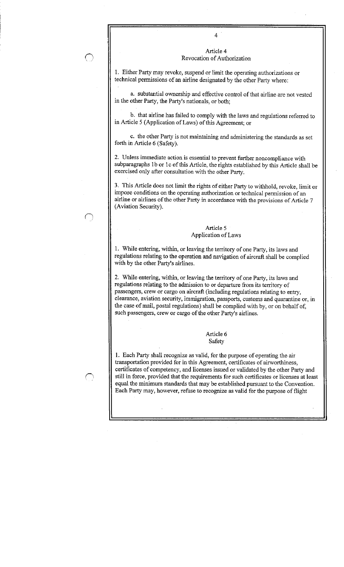# Article 4 Revocation of Authorization

<sup>1</sup> . Either Party may revoke, suspend or limit the operating authorizations or technical permissions of an airline designated by the other Party where :

a. substantial ownership and effective control of that airline are not vested in the other Party, the Party's nationals, or both;

b. that airline has failed to comply with the laws and regulations referred to in Article 5 (Application of Laws) of this Agreement; or

c. the other Party is not maintaining and administering the standards as set forth in Article 6 (Safety).

2. Unless immediate action is essential to prevent further noncompliance with subparagraphs lb or lc of this Article, the rights established by this Article shall be exercised only after consultation with the other Party.

3. This Article does not limit the rights of either Party to withhold, revoke, limit or impose conditions on the operating authorization or technical permission of an airline or airlines of the other Party in accordance with the provisions of Article 7 (Aviation Security).

# Article 5 Application of Laws

1. While entering, within, or leaving the territory of one Party, its laws and regulations relating to the operation and navigation of aircraft shall be complied with by the other Party's airlines .

2. While entering, within, or leaving the territory of one Party, its laws and regulations relating to the admission to or departure from its territory of passengers, crew or cargo on aircraft (including regulations relating to entry, clearance, aviation security, immigration, passports, customs and quarantine or, in the case of mail, postal regulations) shall be complied with by, or on behalf of, such passengers, crew or cargo of the other Party's airlines .

> Article 6 Safety

1 . Each Party shall recognize as valid, for the purpose of operating the air transportation provided for in this Agreement, certificates of airworthiness, certificates of competency, and licenses issued or validated by the other Party and still in force, provided that the requirements for such certificates or licenses at least equal the minimum standards that may be established pursuant to the Convention . Each Party may, however, refuse to recognize as valid for the purpose of flight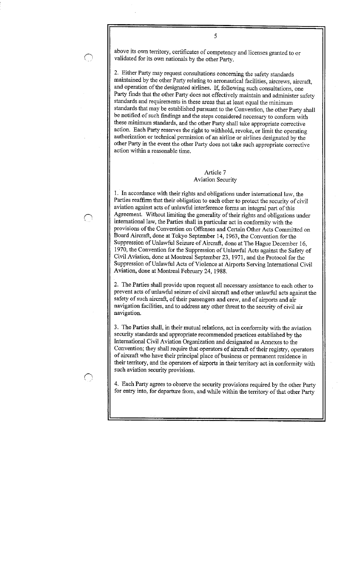above its own territory, certificates of competency and licenses granted to or validated for its own nationals by the other Party.

5

2 . Either Party may request consultations concerning the safety standards maintained by the other Party relating to aeronautical facilities, aircrews, aircraft, and operation of the designated airlines. If, following such consultations, one Party finds that the other Party does not effectively maintain and administer safety standards and requirements in these areas that at least equal the minimum standards that may be established pursuant to the Convention, the other Party shall be notified of such findings and the steps considered necessary to conform with these minimum standards, and the other Party shall take appropriate corrective action. Each Party reserves the right to withhold, revoke, or limit the operating authorization or technical permission of an airline or airlines designated by the other Party in the event the other Party does not take such appropriate corrective action within a reasonable time .

# Article 7 Aviation Security

<sup>1</sup> . In accordance with their rights and obligations under international law, the Parties reaffirm that their obligation to each other to protect the security of civil aviation against acts of unlawful interference forms an integral part of this Agreement. Without limiting the generality of their rights and obligations under international law, the Parties shall in particular act in conformity with the provisions of the Convention on Offenses and Certain Other Acts Committed on Board Aircraft, done at Tokyo September 14, 1963, the Convention for the Suppression of Unlawful Seizure of Aircraft, done at The Hague December 16, 1970, the Convention for the Suppression of Unlawful Acts against the Safety of Civil Aviation, done at Montreal September 23, 1971, and the Protocol for the Suppression of Unlawful Acts of Violence at Airports Serving International Civil Aviation, done at Montreal February 24, 1988 .

2. The Parties shall provide upon request all necessary assistance to each other to prevent acts of unlawful seizure of civil aircraft and other unlawful acts against the safety of such aircraft, of their passengers and crew, and of airports and air navigation facilities, and to address any other threat to the security of civil air navigation.

3 . The Parties shall, in their mutual relations, act in conformity with the aviation security standards and appropriate recommended practices established by the International Civil Aviation Organization and designated as Annexes to the Convention; they shall require that operators of aircraft of their registry, operators of aircraft who have their principal place of business or permanent residence in their territory, and the operators of airports in their territory act in conformity with such aviation security provisions.

4. Each Party agrees to observe the security provisions required by the other Party for entry into, for departure from, and while within the territory of that other Party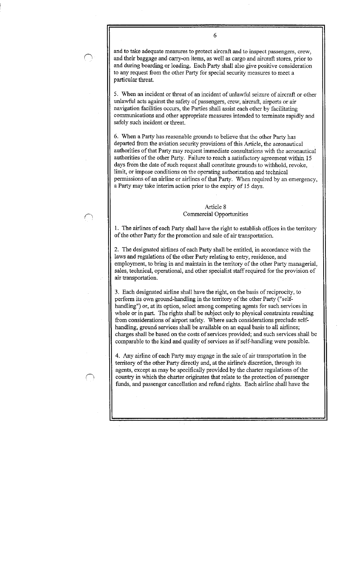and to take adequate measures to protect aircraft and to inspect passengers, crew, and their baggage and carry-on items, as well as cargo and aircraft stores, prior to and during boarding or loading. Each Party shall also give positive consideration to any request from the other Party for special security measures to meet a particular threat.

5 . When an incident or threat of an incident of unlawful seizure of aircraft or other unlawful acts against the safety of passengers, crew, aircraft, airports or air navigation facilities occurs, the Parties shall assist each other by facilitating communications and other appropriate measures intended to terminate rapidly and safely such incident or threat.

6. When a Party has reasonable grounds to believe that the other Party has departed from the aviation security provisions of this Article, the aeronautical authorities of that Party may request immediate consultations with the aeronautical authorities of the other Party. Failure to reach a satisfactory agreement within 15 days from the date of such request shall constitute grounds to withhold, revoke, limit, or impose conditions on the operating authorization and technical permissions of an airline or airlines of that Party. When required by an emergency, a Party may take interim action prior to the expiry of 15 days .

# Article 8 Commercial Opportunities

1. The airlines of each Party shall have the right to establish offices in the territory of the other Party for the promotion and sale of air transportation .

2. The designated airlines of each Party shall be entitled, in accordance with the laws and regulations of the other Party relating to entry, residence, and employment, to bring in and maintain in the territory of the other Party managerial, sales, technical, operational, and other specialist staff required for the provision of air transportation.

3 . Each designated airline shall have the right, on the basis of reciprocity, to perform its own ground-handling in the territory of the other Party ("selfhandling") or, at its option, select among competing agents for such services in whole or in part. The rights shall be subject only to physical constraints resulting from considerations of airport safety. Where such considerations preclude selfhandling, ground services shall be available on an equal basis to all airlines; charges shall be based on the costs of services provided; and such services shall be comparable to the kind and quality of services as if self-handling were possible .

4. Any airline of each Party may engage in the sale of air transportation in the territory of the other Party directly and, at the airline's discretion, through its agents, except as may be specifically provided by the charter regulations of the country in which the charter originates that relate to the protection of passenger funds, and passenger cancellation and refund rights. Each airline shall have the

6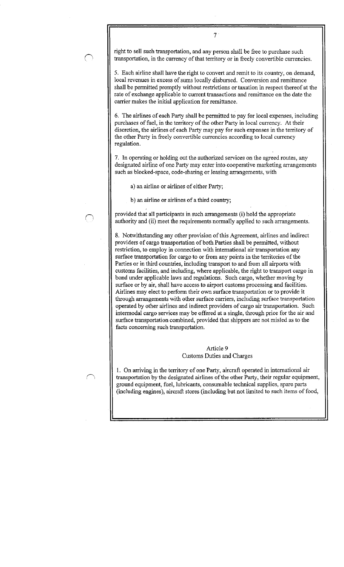right to sell such transportation, and any person shall be free to purchase such transportation, in the currency of that territory or in freely convertible currencies .

7

5 . Each airline shall have the right to convert and remit to its country, on demand, local revenues in excess of sums locally disbursed. Conversion and remittance shall be permitted promptly without restrictions or taxation in respect thereof at the rate of exchange applicable to current transactions and remittance on the date the carrier makes the initial application for remittance .

6. The airlines of each Party shall be permitted to pay for local expenses, including purchases of fuel, in the territory of the other Party in local currency. At their discretion, the airlines of each Party may pay for such expenses in the territory of the other Party in freely convertible currencies according to local currency regulation.

7 . In operating or holding out the authorized services on the agreed routes, any designated airline of one Party may enter into cooperative marketing arrangements such as blocked-space, code-sharing or leasing arrangements, with

a) an airline or airlines of either Party;

b) an airline or airlines of a third country;

provided that all participants in such arrangements (i) hold the appropriate authority and (ii) meet the requirements normally applied to such arrangements .

8. Notwithstanding any other provision of this Agreement, airlines and indirect providers of cargo transportation of both Parties shall be permitted, without restriction, to employ in connection with international air transportation any surface transportation for cargo to or from any points in the territories of the Parties or in third countries, including transport to and from all airports with customs facilities, and including, where applicable, the right to transport cargo in bond under applicable laws and regulations. Such cargo, whether moving by surface or by air, shall have access to airport customs processing and facilities . Airlines may elect to perform their own surface transportation or to provide it through arrangements with other surface carriers, including surface transportation operated by other airlines and indirect providers of cargo air transportation . Such intermodal cargo services may be offered at a single, through price for the air and surface transportation combined, provided that shippers are not misled as to the facts concerning such transportation.

> Article 9 Customs Duties and Charges

1 . On arriving in the territory of one Party, aircraft operated in international air transportation by the designated airlines of the other Party, their regular equipment, ground equipment, fuel, lubricants, consumable technical supplies, spare parts (including engines), aircraft stores (including but not limited to such items of food,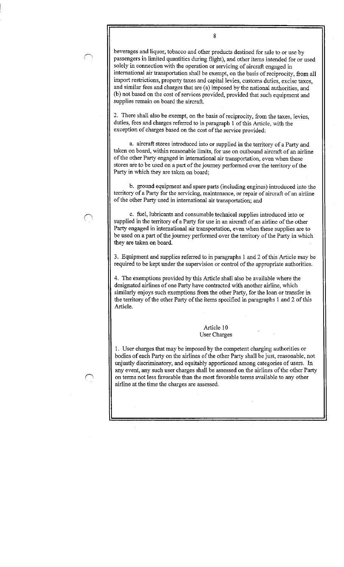beverages and liquor, tobacco and other products destined for sale to or use by passengers in limited quantities during flight), and other items intended for or used solely in connection with the operation or servicing of aircraft engaged in international air transportation shall be exempt, on the basis of reciprocity, from all import restrictions, property taxes and capital levies, customs duties, excise taxes, and similar fees and charges that are (a) imposed by the national authorities, and (b) not based on the cost of services provided, provided that such equipment and supplies remain on board the aircraft.

8

2. There shall also be exempt, on the basis of reciprocity, from the taxes, levies, duties, fees and charges referred to in paragraph 1 of this Article, with the exception of charges based on the cost of the service provided :

a. aircraft stores introduced into or supplied in the territory of a Party and taken on board, within reasonable limits, for use on outbound aircraft of an airline of the other Party engaged in international air transportation, even when these stores are to be used on a part of the journey performed over the territory of the Party in which they are taken on board;

b. ground equipment and spare parts (including engines) introduced into the territory of a Party for the servicing, maintenance, or repair of aircraft of an airline of the other Party used in international air transportation; and

c. fuel, lubricants and consumable technical supplies introduced into or supplied in the territory of a Party for use in an aircraft of an airline of the other Party engaged in international air transportation, even when these supplies are to be used on a part of the journey performed over the territory of the Party in which they are taken on board.

3 . Equipment and supplies referred to in paragraphs 1 and 2 of this Article may be required to be kept under the supervision or control of the appropriate authorities .

4. The exemptions provided by this Article shall also be available where the designated airlines of one Party have contracted with another airline, which similarly enjoys such exemptions from the other Party, for the loan or transfer in the territory of the other Party of the items specified in paragraphs 1 and 2 of this Article.

> Article 10 User Charges

<sup>1</sup> . User charges that may be imposed by the competent charging authorities or bodies of each Party on the airlines of the other Party shall be just, reasonable, not unjustly discriminatory, and equitably apportioned among categories of users. In any event, any such user charges shall be assessed on the airlines of the other Party on terms not less favorable than the most favorable terms available to any other airline at the time the charges are assessed .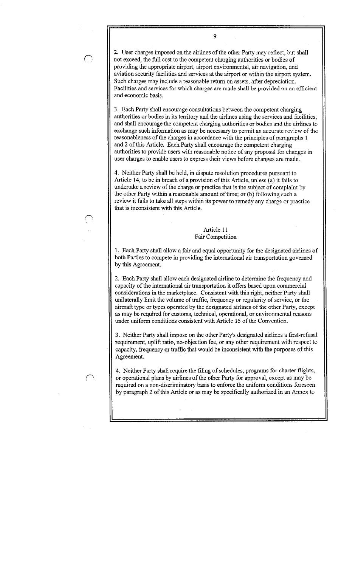2. User charges imposed on the airlines of the other Party may reflect, but shall not exceed, the full cost to the competent charging authorities or bodies of providing the appropriate airport, airport environmental, air navigation, and aviation security facilities and services at the airport or within the airport system . Such charges may include a reasonable return on assets, after depreciation. Facilities and services for which charges are made shall be provided on an efficient and economic basis.

9

3 . Each Party shall encourage consultations between the competent charging authorities or bodies in its territory and the airlines using the services and facilities, and shall encourage the competent charging authorities or bodies and the airlines to exchange such information as may be necessary to permit an accurate review of the reasonableness of the charges in accordance with the principles of paragraphs 1 and 2 of this Article. Each Party shall encourage the competent charging authorities to provide users with reasonable notice of any proposal for changes in user charges to enable users to express their views before changes are made .

4. Neither Party shall be held, in dispute resolution procedures pursuant to Article 14, to be in breach of a provision of this Article, unless (a) it fails to undertake a review of the charge or practice that is the subject of complaint by the other Party within a reasonable amount of time; or (b) following such a review it fails to take all steps within its power to remedy any charge or practice that is inconsistent with this Article .

### Article 11 Fair Competition

1 . Each Party shall allow a fair and equal opportunity for the designated airlines of both Parties to compete in providing the international air transportation governed by this Agreement.

2. Each Party shall allow each designated airline to determine the frequency and capacity of the international air transportation it offers based upon commercial considerations in the marketplace . Consistent with this right, neither Party shall unilaterally limit the volume of traffic, frequency or regularity of service, or the aircraft type or types operated by the designated airlines of the other Party, except as may be required for customs, technical, operational, or environmental reasons under uniform conditions consistent with Article 15 of the Convention.

3 . Neither Party shall impose on the other Party's designated airlines a first-refusal requirement, uplift ratio, no-objection fee, or any other requirement with respect to capacity, frequency or traffic that would be inconsistent with the purposes of this Agreement.

4. Neither Party shall require the filing of schedules, programs for charter flights, or operational plans by airlines of the other Party for approval, except as may be required on a non-discriminatory basis to enforce the uniform conditions foreseen by paragraph 2 of this Article or as may be specifically authorized in an Annex to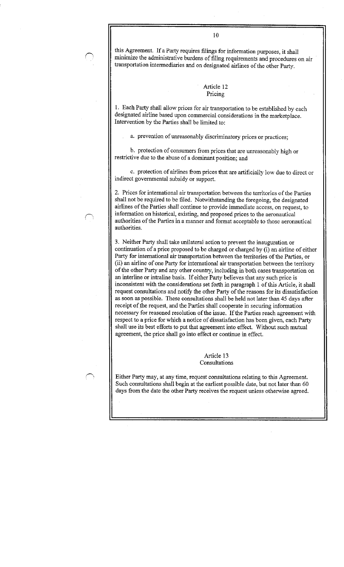this Agreement. If a Party requires filings for information purposes, it shall minimize the administrative burdens of filing requirements and procedures on air transportation intermediaries and on designated airlines of the other Party .

### Article 12 Pricing

<sup>1</sup> . Each Party shall allow prices for air transportation to be established by each designated airline based upon commercial considerations in the marketplace . Intervention by the Parties shall be limited to :

a. prevention of unreasonably discriminatory prices or practices;

b. protection of consumers from prices that are unreasonably high or restrictive due to the abuse of a dominant position; and

c. protection of airlines from prices that are artificially low due to direct or indirect governmental subsidy or support.

2 . Prices for international air transportation between the territories of the Parties shall not be required to be filed. Notwithstanding the foregoing, the designated airlines of the Parties shall continue to provide immediate access, on request, to information on historical, existing, and proposed prices to the aeronautical authorities of the Parties in a manner and format acceptable to those aeronautical authorities .

3 . Neither Party shall take unilateral action to prevent the inauguration or continuation of a price proposed to be charged or charged by (i) an airline of either Party for international air transportation between the territories of the Parties, or (ii) an airline of one Party for international air transportation between the territory of the other Party and any other country, including in both cases transportation on an interline or intraline basis . If either Party believes that any such price is inconsistent with the considerations set forth in paragraph 1 of this Article, it shall request consultations and notify the other Party of the reasons for its dissatisfaction as soon as possible. These consultations shall be held not later than 45 days after receipt of the request, and the Parties shall cooperate in securing information necessary for reasoned resolution of the issue . If the Parties reach agreement with respect to a price for which a notice of dissatisfaction has been given, each Party shall use its best efforts to put that agreement into effect. Without such mutual agreement, the price shall go into effect or continue in effect .

> Article 13 Consultations

Either Party may, at any time, request consultations relating to this Agreement. Such consultations shall begin at the earliest possible date, but not later than 60 days from the date the other Party receives the request unless otherwise agreed .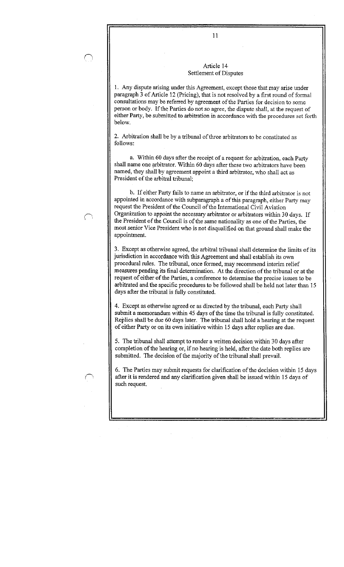# Article 14 Settlement of Disputes

<sup>1</sup> . Any dispute arising under this Agreement, except those that may arise under paragraph 3 of Article 12 (Pricing), that is not resolved by a first round of formal consultations may be referred by agreement of the Parties for decision to some person or body. If the Parties do not so agree, the dispute shall, at the request of either Party, be submitted to arbitration in accordance with the procedures set forth below.

2. Arbitration shall be by a tribunal of three arbitrators to be constituted as follows:

a. Within 60 days after the receipt of a request for arbitration, each Party shall name one arbitrator. Within 60 days after these two arbitrators have been named, they shall by agreement appoint a third arbitrator, who shall act as President of the arbitral tribunal:

b. If either Party fails to name an arbitrator, or if the third arbitrator is not appointed in accordance with subparagraph a of this paragraph, either Party may request the President of the Council of the International Civil Aviation Organization to appoint the necessary arbitrator or arbitrators within 30 days . If the President of the Council is of the same nationality as one of the Parties, the most senior Vice President who is not disqualified on that ground shall make the appointment.

3 . Except as otherwise agreed, the arbitral tribunal shall determine the limits of its jurisdiction in accordance with this Agreement and shall establish its own procedural rules. The tribunal, once formed, may recommend interim relief measures pending its final determination . At the direction of the tribunal or at the request of either of the Parties, a conference to determine the precise issues to be arbitrated and the specific procedures to be followed shall be held not later than 15 days after the tribunal is fully constituted.

4. Except as otherwise agreed or as directed by the tribunal, each Party shall submit a memorandum within 45 days of the time the tribunal is fully constituted. Replies shall be due 60 days later. The tribunal shall hold a hearing at the request of either Party or on its own initiative within 15 days after replies are due .

5 . The tribunal shall attempt to render a written decision within 30 days after completion of the hearing or, if no hearing is held, after the date both replies are submitted. The decision of the majority of the tribunal shall prevail.

6. The Parties may submit requests for clarification of the decision within 15 days after it is rendered and any clarification given shall be issued within 15 days of such request.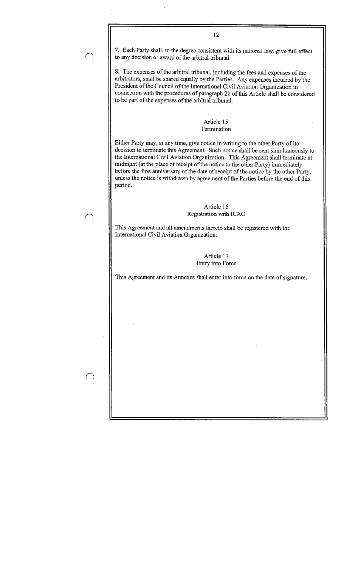7. Each Party shall, to the degree consistent with its national law, give full effect to any decision or award of the arbitral tribunal.

12

8. The expenses of the arbitral tribunal, including the fees and expenses of the arbitrators, shall be shared equally by the Parties . Any expenses incurred by the President of the Council of the International Civil Aviation Organization in connection with the procedures of paragraph 2b of this Article shall be considered to be part of the expenses of the arbitral tribunal .

### Article 15 Termination

Either Party may, at any time, give notice in writing to the other Party of its decision to terminate this Agreement. Such notice shall be sent simultaneously to the International Civil Aviation Organization . This Agreement shall terminate at midnight (at the place of receipt of the notice to the other Party) immediately before the first anniversary of the date of receipt of the notice by the other Party, unless the notice is withdrawn by agreement of the Parties before the end of this period.

# Article 16 Registration with ICAO

This Agreement and all amendments thereto shall be registered with the International Civil Aviation Organization.

# Article 17 Entry into Force

This Agreement and its Annexes shall enter into force on the date of signature.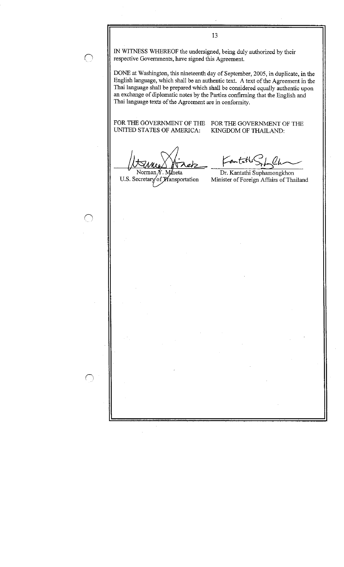IN WITNESS WHEREOF the undersigned, being duly authorized by their respective Governments, have signed this Agreement.

DONE at Washington, this nineteenth day of September, 2005, in duplicate, in the English language, which shall be an authentic text . A text of the Agreement in the Thai language shall be prepared which shall be considered equally authentic upon an exchange of diplomatic notes by the Parties confirming that the English and Thai language texts of the Agreement are in conformity .

1 3

UNITED STATES OF AMERICA:

FOR THE GOVERNMENT OF THE FOR THE GOVERNMENT OF THE UNITED STATES OF AMERICA: KINGDOM OF THAILAND:

Contatle (Lb

Norman U.S. Secretary of Wansportation

neta Dr. Kantathi Suphamongkhon Minister of Foreign Affairs of Thailand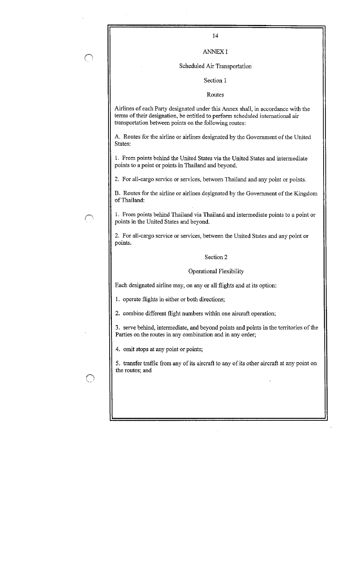## ANNEX I

#### Scheduled Air Transportation

#### Section I

#### Routes

Airlines of each Party designated under this Annex shall, in accordance with the terms of their designation, be entitled to perform scheduled international air transportation between points on the following routes :

A. Routes for the airline or airlines designated by the Government of the United States:

<sup>1</sup> . From points behind the United States via the United States and intermediate points to a point or points in Thailand and beyond.

2. For all-cargo service or services, between Thailand and any point or points.

B. Routes for the airline or airlines designated by the Government of the Kingdom of Thailand:

<sup>1</sup> . From points behind Thailand via Thailand and intermediate points to a point or points in the United States and beyond.

2. For all-cargo service or services, between the United States and any point or points.

### Section 2

### Operational Flexibility

Each designated airline may, on any or all flights and at its option :

1. operate flights in either or both directions;

2. combine different flight numbers within one aircraft operation;

3 . serve behind, intermediate, and beyond points and points in the territories of the Parties on the routes in any combination and in any order;

4. omit stops at any point or points;

5 . transfer traffic from any of its aircraft to any of its other aircraft at any point on the routes; and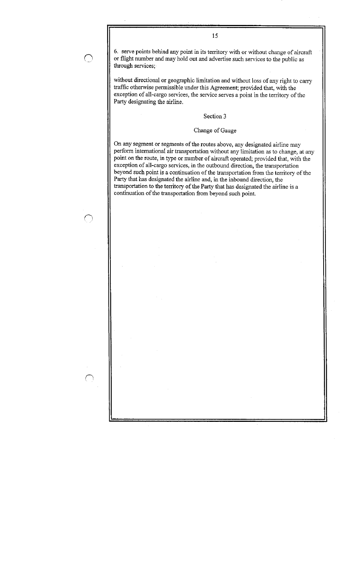6. serve points behind any point in its territory with or without change of aircraft or flight number and may hold out and advertise such services to the public as through services;

15

without directional or geographic limitation and without loss of any right to carry traffic otherwise permissible under this Agreement; provided that, with the exception of all-cargo services, the service serves a point in the territory of the Party designating the airline.

# Section 3

# Change of Gauge

On any segment or segments of the routes above, any designated airline may perform international air transportation without any limitation as to change, at any point on the route, in type or number of aircraft operated; provided that, with the exception of all-cargo services, in the outbound direction, the transportation beyond such point is a continuation of the transportation from the territory of the Party that has designated the airline and, in the inbound direction, the transportation to the territory of the Party that has designated the airline is a continuation of the transportation from beyond such point.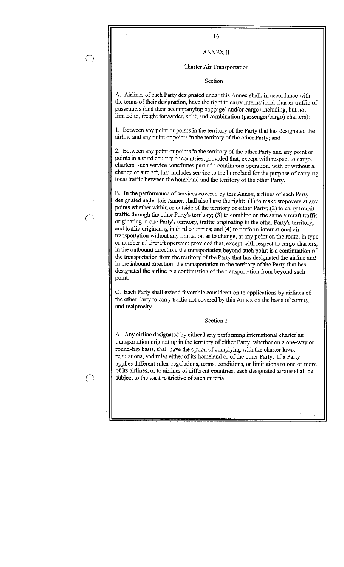16

# ANNEX II

### Charter Air Transportation

Section 1

A. Airlines of each Party designated under this Annex shall, in accordance with the terms of their designation, have the right to carry international charter traffic of passengers (and their accompanying baggage) and/or cargo (including, but not limited to, freight forwarder, split, and combination (passenger/cargo) charters) :

<sup>1</sup> . Between any point or points in the territory of the Party that has designated the airline and any point or points in the territory of the other Party; and

2. Between any point or points in the territory of the other Party and any point or points in a third country or countries, provided that, except with respect to cargo charters, such service constitutes part of a continuous operation, with or without a change of aircraft, that includes service to the homeland for the purpose of carrying local traffic between the homeland and the territory of the other Party .

B . In the performance of services covered by this Annex, airlines of each Party designated under this Annex shall also have the right: (1) to make stopovers at any points whether within or outside of the territory of either Party; (2) to carry transit traffic through the other Party's territory; (3) to combine on the same aircraft traffic originating in one Party's territory, traffic originating in the other Party's territory, and traffic originating in third countries; and (4) to perform international air transportation without any limitation as to change, at any point on the route, in type or number of aircraft operated; provided that, except with respect to cargo charters, in the outbound direction, the transportation beyond such point is a continuation of the transportation from the territory of the Party that has designated the airline and in the inbound direction, the transportation to the territory of the Party that has designated the airline is a continuation of the transportation from beyond such point.

C. Each Party shall extend favorable consideration to applications by airlines of the other Party to carry traffic not covered by this Annex on the basis of comity and reciprocity.

### Section 2

A. Any airline designated by either Party performing international charter air transportation originating in the territory of either Party, whether on a one-way or round-trip basis, shall have the option of complying with the charter laws, regulations, and rules either of its homeland or of the other Party. If a Party applies different rules, regulations, terms, conditions, or limitations to one or more of its airlines, or to airlines of different countries, each designated airline shall be subject to the least restrictive of such criteria.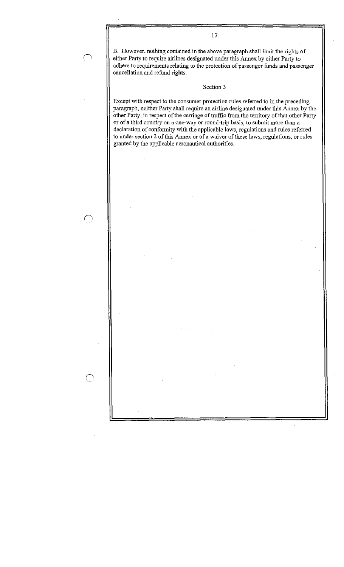B. However, nothing contained in the above paragraph shall limit the rights of either Party to require airlines designated under this Annex by either Party to adhere to requirements relating to the protection of passenger funds and passenger cancellation and refund rights.

### Section 3

Except with respect to the consumer protection rules referred to in the preceding paragraph, neither Party shall require an airline designated under this Annex by the other Party, in respect of the carriage of traffic from the territory of that other Party or of a third country on a one-way or round-trip basis, to submit more than a declaration of conformity with the applicable laws, regulations and rules referred to under section 2 of this Annex or of a waiver of these laws, regulations, or rules granted by the applicable aeronautical authorities .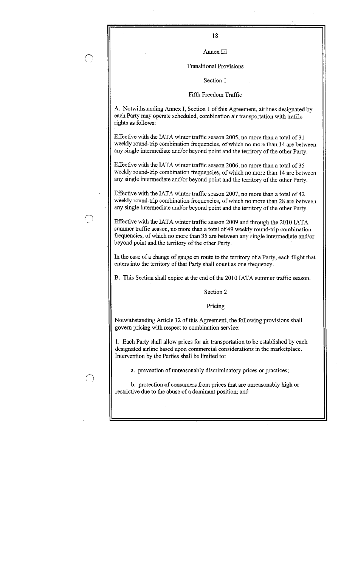Annex III

#### Transitional Provisions

Section 1

### Fifth Freedom Traffic

A. Notwithstanding Annex I, Section 1 of this Agreement, airlines designated by each Party may operate scheduled, combination air transportation with traffic rights as follows :

Effective with the IATA winter traffic season 2005, no more than a total of 31 weekly round-trip combination frequencies, of which no more than 14 are between any single intermediate and/or beyond point and the territory of the other Party .

Effective with the IATA winter traffic season 2006, no more than a total of 35 weekly round-trip combination frequencies, of which no more than 14 are between any single intermediate and/or beyond point and the territory of the other Party.

Effective with the IATA winter traffic season 2007, no more than a total of 42 weekly round-trip combination frequencies, of which no more than 28 are between any single intermediate and/or beyond point and the territory of the other Party .

Effective with the IATA winter traffic season 2009 and through the 2010 IATA summer traffic season, no more than a total of 49 weekly round-trip combination frequencies, of which no more than 35 are between any single intermediate and/or beyond point and the territory of the other Party.

In the case of a change of gauge en route to the territory of a Party, each flight that enters into the territory of that Party shall count as one frequency .

B. This Section shall expire at the end of the 2010 IATA summer traffic season.

Section 2

Pricing

Notwithstanding Article 12 of this Agreement, the following provisions shall govern pricing with respect to combination service :

1 . Each Party shall allow prices for air transportation to be established by each designated airline based upon commercial considerations in the marketplace . Intervention by the Parties shall be limited to :

a. prevention of unreasonably discriminatory prices or practices;

b. protection of consumers from prices that are unreasonably high or restrictive due to the abuse of a dominant position; and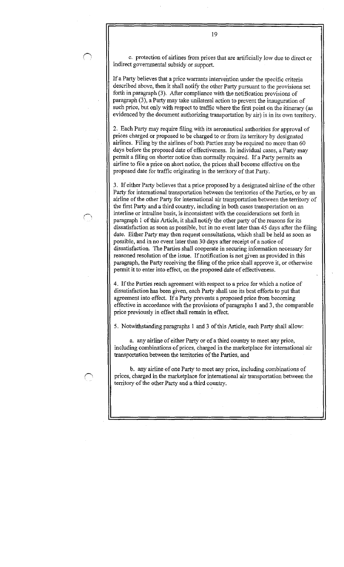c. protection of airlines from prices that are artificially low due to direct or indirect governmental subsidy or support.

If a Party believes that a price warrants intervention under the specific criteria described above, then it shall notify the other Party pursuant to the provisions set forth in paragraph (3). After compliance with the notification provisions of paragraph (3), a Party may take unilateral action to prevent the inauguration of such price, but only with respect to traffic where the first point on the itinerary (as evidenced by the document authorizing transportation by air) is in its own territory .

2. Each Party may require filing with its aeronautical authorities for approval of prices charged or proposed to be charged to or from its territory by designated airlines. Filing by the airlines of both Parties may be required no more than 60 days before the proposed date of effectiveness. In individual cases, a Party may permit a filing on shorter notice than normally required. If a Party permits an airline to file a price on short notice, the prices shall become effective on the proposed date for traffic originating in the territory of that Party .

3 . If either Party believes that a price proposed by a designated airline of the other Party for international transportation between the territories of the Parties, or by an airline of the other Party for international air transportation between the territory of the first Party and a third country, including in both cases transportation on an interline or intraline basis, is inconsistent with the considerations set forth in paragraph I of this Article, it shall notify the other party of the reasons for its dissatisfaction as soon as possible, but in no event later than 45 days after the filing date. Either Party may then request consultations, which shall be held as soon as possible, and in no event later than 30 days after receipt of a notice of dissatisfaction. The Parties shall cooperate in securing information necessary for reasoned resolution of the issue. If notification is not given as provided in this paragraph, the Party receiving the filing of the price shall approve it, or otherwise permit it to enter into effect, on the proposed date of effectiveness .

4. If the Parties reach agreement with respect to a price for which a notice of dissatisfaction has been given, each Party shall use its best efforts to put that agreement into effect. If a Party prevents a proposed price from becoming effective in accordance with the provisions of paragraphs 1 and 3, the comparable price previously in effect shall remain in effect.

5. Notwithstanding paragraphs 1 and 3 of this Article, each Party shall allow :

a. any airline of either Party or of a third country to meet any price, including combinations of prices, charged in the marketplace for international air transportation between the territories of the Parties, and

b. any airline of one Party to meet any price, including combinations of prices, charged in the marketplace for international air transportation between the territory of the other Party and a third country.